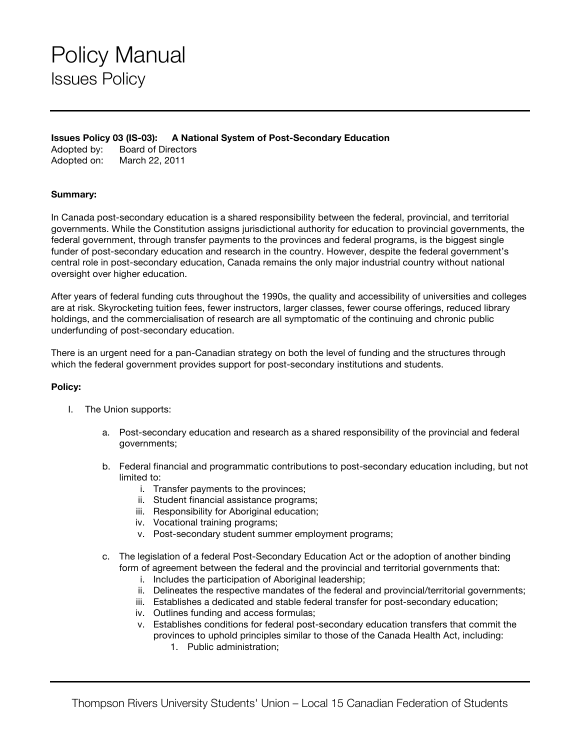## Policy Manual Issues Policy

**Issues Policy 03 (IS-03): A National System of Post-Secondary Education**

Adopted by: Board of Directors Adopted on: March 22, 2011

## **Summary:**

In Canada post-secondary education is a shared responsibility between the federal, provincial, and territorial governments. While the Constitution assigns jurisdictional authority for education to provincial governments, the federal government, through transfer payments to the provinces and federal programs, is the biggest single funder of post-secondary education and research in the country. However, despite the federal government's central role in post-secondary education, Canada remains the only major industrial country without national oversight over higher education.

After years of federal funding cuts throughout the 1990s, the quality and accessibility of universities and colleges are at risk. Skyrocketing tuition fees, fewer instructors, larger classes, fewer course offerings, reduced library holdings, and the commercialisation of research are all symptomatic of the continuing and chronic public underfunding of post-secondary education.

There is an urgent need for a pan-Canadian strategy on both the level of funding and the structures through which the federal government provides support for post-secondary institutions and students.

## **Policy:**

- I. The Union supports:
	- a. Post-secondary education and research as a shared responsibility of the provincial and federal governments;
	- b. Federal financial and programmatic contributions to post-secondary education including, but not limited to:
		- i. Transfer payments to the provinces;
		- ii. Student financial assistance programs;
		- iii. Responsibility for Aboriginal education;
		- iv. Vocational training programs;
		- v. Post-secondary student summer employment programs;
	- c. The legislation of a federal Post-Secondary Education Act or the adoption of another binding form of agreement between the federal and the provincial and territorial governments that:
		- i. Includes the participation of Aboriginal leadership;
		- ii. Delineates the respective mandates of the federal and provincial/territorial governments;
		- iii. Establishes a dedicated and stable federal transfer for post-secondary education;
		- iv. Outlines funding and access formulas;
		- v. Establishes conditions for federal post-secondary education transfers that commit the provinces to uphold principles similar to those of the Canada Health Act, including:
			- 1. Public administration;